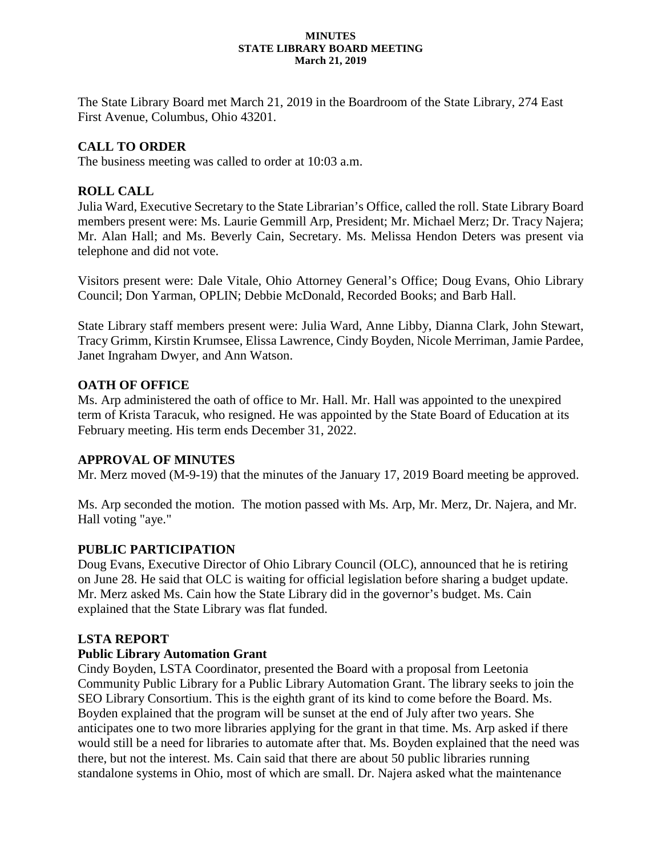#### **MINUTES STATE LIBRARY BOARD MEETING March 21, 2019**

The State Library Board met March 21, 2019 in the Boardroom of the State Library, 274 East First Avenue, Columbus, Ohio 43201.

# **CALL TO ORDER**

The business meeting was called to order at 10:03 a.m.

# **ROLL CALL**

Julia Ward, Executive Secretary to the State Librarian's Office, called the roll. State Library Board members present were: Ms. Laurie Gemmill Arp, President; Mr. Michael Merz; Dr. Tracy Najera; Mr. Alan Hall; and Ms. Beverly Cain, Secretary. Ms. Melissa Hendon Deters was present via telephone and did not vote.

Visitors present were: Dale Vitale, Ohio Attorney General's Office; Doug Evans, Ohio Library Council; Don Yarman, OPLIN; Debbie McDonald, Recorded Books; and Barb Hall.

State Library staff members present were: Julia Ward, Anne Libby, Dianna Clark, John Stewart, Tracy Grimm, Kirstin Krumsee, Elissa Lawrence, Cindy Boyden, Nicole Merriman, Jamie Pardee, Janet Ingraham Dwyer, and Ann Watson.

# **OATH OF OFFICE**

Ms. Arp administered the oath of office to Mr. Hall. Mr. Hall was appointed to the unexpired term of Krista Taracuk, who resigned. He was appointed by the State Board of Education at its February meeting. His term ends December 31, 2022.

# **APPROVAL OF MINUTES**

Mr. Merz moved (M-9-19) that the minutes of the January 17, 2019 Board meeting be approved.

Ms. Arp seconded the motion. The motion passed with Ms. Arp, Mr. Merz, Dr. Najera, and Mr. Hall voting "aye."

# **PUBLIC PARTICIPATION**

Doug Evans, Executive Director of Ohio Library Council (OLC), announced that he is retiring on June 28. He said that OLC is waiting for official legislation before sharing a budget update. Mr. Merz asked Ms. Cain how the State Library did in the governor's budget. Ms. Cain explained that the State Library was flat funded.

# **LSTA REPORT**

# **Public Library Automation Grant**

Cindy Boyden, LSTA Coordinator, presented the Board with a proposal from Leetonia Community Public Library for a Public Library Automation Grant. The library seeks to join the SEO Library Consortium. This is the eighth grant of its kind to come before the Board. Ms. Boyden explained that the program will be sunset at the end of July after two years. She anticipates one to two more libraries applying for the grant in that time. Ms. Arp asked if there would still be a need for libraries to automate after that. Ms. Boyden explained that the need was there, but not the interest. Ms. Cain said that there are about 50 public libraries running standalone systems in Ohio, most of which are small. Dr. Najera asked what the maintenance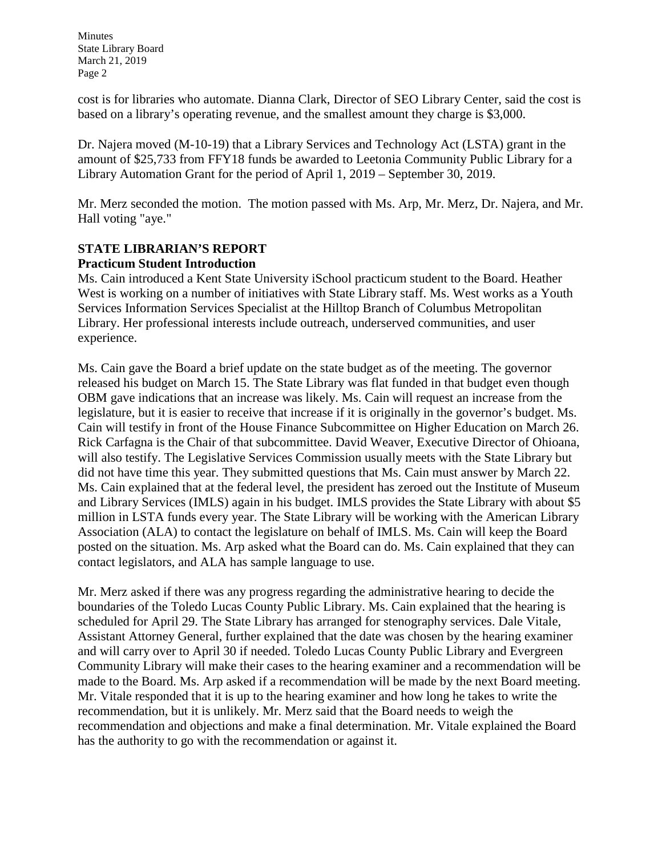Minutes State Library Board March 21, 2019 Page 2

cost is for libraries who automate. Dianna Clark, Director of SEO Library Center, said the cost is based on a library's operating revenue, and the smallest amount they charge is \$3,000.

Dr. Najera moved (M-10-19) that a Library Services and Technology Act (LSTA) grant in the amount of \$25,733 from FFY18 funds be awarded to Leetonia Community Public Library for a Library Automation Grant for the period of April 1, 2019 – September 30, 2019.

Mr. Merz seconded the motion. The motion passed with Ms. Arp, Mr. Merz, Dr. Najera, and Mr. Hall voting "aye."

#### **STATE LIBRARIAN'S REPORT Practicum Student Introduction**

Ms. Cain introduced a Kent State University iSchool practicum student to the Board. Heather West is working on a number of initiatives with State Library staff. Ms. West works as a Youth Services Information Services Specialist at the Hilltop Branch of Columbus Metropolitan Library. Her professional interests include outreach, underserved communities, and user experience.

Ms. Cain gave the Board a brief update on the state budget as of the meeting. The governor released his budget on March 15. The State Library was flat funded in that budget even though OBM gave indications that an increase was likely. Ms. Cain will request an increase from the legislature, but it is easier to receive that increase if it is originally in the governor's budget. Ms. Cain will testify in front of the House Finance Subcommittee on Higher Education on March 26. Rick Carfagna is the Chair of that subcommittee. David Weaver, Executive Director of Ohioana, will also testify. The Legislative Services Commission usually meets with the State Library but did not have time this year. They submitted questions that Ms. Cain must answer by March 22. Ms. Cain explained that at the federal level, the president has zeroed out the Institute of Museum and Library Services (IMLS) again in his budget. IMLS provides the State Library with about \$5 million in LSTA funds every year. The State Library will be working with the American Library Association (ALA) to contact the legislature on behalf of IMLS. Ms. Cain will keep the Board posted on the situation. Ms. Arp asked what the Board can do. Ms. Cain explained that they can contact legislators, and ALA has sample language to use.

Mr. Merz asked if there was any progress regarding the administrative hearing to decide the boundaries of the Toledo Lucas County Public Library. Ms. Cain explained that the hearing is scheduled for April 29. The State Library has arranged for stenography services. Dale Vitale, Assistant Attorney General, further explained that the date was chosen by the hearing examiner and will carry over to April 30 if needed. Toledo Lucas County Public Library and Evergreen Community Library will make their cases to the hearing examiner and a recommendation will be made to the Board. Ms. Arp asked if a recommendation will be made by the next Board meeting. Mr. Vitale responded that it is up to the hearing examiner and how long he takes to write the recommendation, but it is unlikely. Mr. Merz said that the Board needs to weigh the recommendation and objections and make a final determination. Mr. Vitale explained the Board has the authority to go with the recommendation or against it.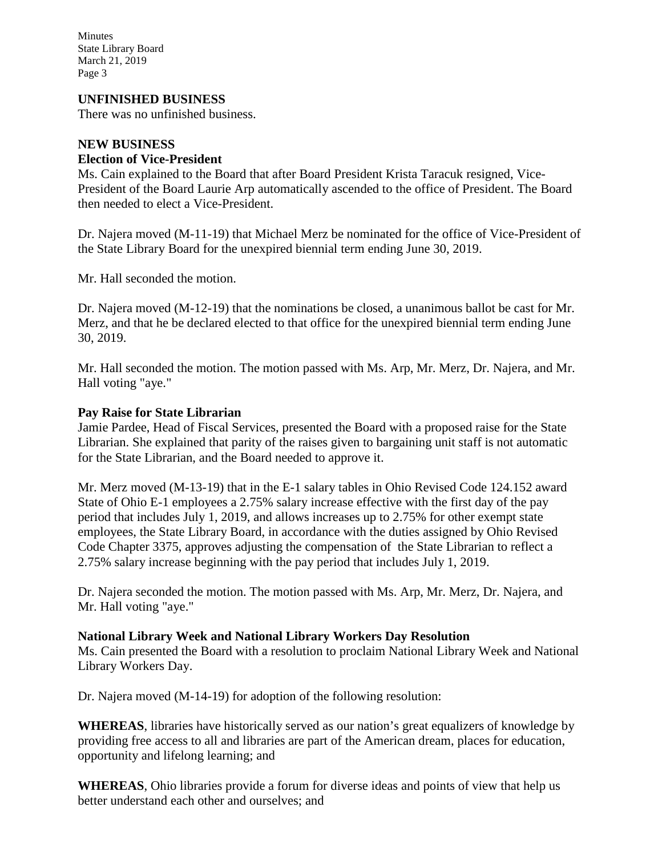Minutes State Library Board March 21, 2019 Page 3

## **UNFINISHED BUSINESS**

There was no unfinished business.

## **NEW BUSINESS**

### **Election of Vice-President**

Ms. Cain explained to the Board that after Board President Krista Taracuk resigned, Vice-President of the Board Laurie Arp automatically ascended to the office of President. The Board then needed to elect a Vice-President.

Dr. Najera moved (M-11-19) that Michael Merz be nominated for the office of Vice-President of the State Library Board for the unexpired biennial term ending June 30, 2019.

Mr. Hall seconded the motion.

Dr. Najera moved (M-12-19) that the nominations be closed, a unanimous ballot be cast for Mr. Merz, and that he be declared elected to that office for the unexpired biennial term ending June 30, 2019.

Mr. Hall seconded the motion. The motion passed with Ms. Arp, Mr. Merz, Dr. Najera, and Mr. Hall voting "aye."

## **Pay Raise for State Librarian**

Jamie Pardee, Head of Fiscal Services, presented the Board with a proposed raise for the State Librarian. She explained that parity of the raises given to bargaining unit staff is not automatic for the State Librarian, and the Board needed to approve it.

Mr. Merz moved (M-13-19) that in the E-1 salary tables in Ohio Revised Code 124.152 award State of Ohio E-1 employees a 2.75% salary increase effective with the first day of the pay period that includes July 1, 2019, and allows increases up to 2.75% for other exempt state employees, the State Library Board, in accordance with the duties assigned by Ohio Revised Code Chapter 3375, approves adjusting the compensation of the State Librarian to reflect a 2.75% salary increase beginning with the pay period that includes July 1, 2019.

Dr. Najera seconded the motion. The motion passed with Ms. Arp, Mr. Merz, Dr. Najera, and Mr. Hall voting "aye."

## **National Library Week and National Library Workers Day Resolution**

Ms. Cain presented the Board with a resolution to proclaim National Library Week and National Library Workers Day.

Dr. Najera moved (M-14-19) for adoption of the following resolution:

**WHEREAS**, libraries have historically served as our nation's great equalizers of knowledge by providing free access to all and libraries are part of the American dream, places for education, opportunity and lifelong learning; and

**WHEREAS**, Ohio libraries provide a forum for diverse ideas and points of view that help us better understand each other and ourselves; and